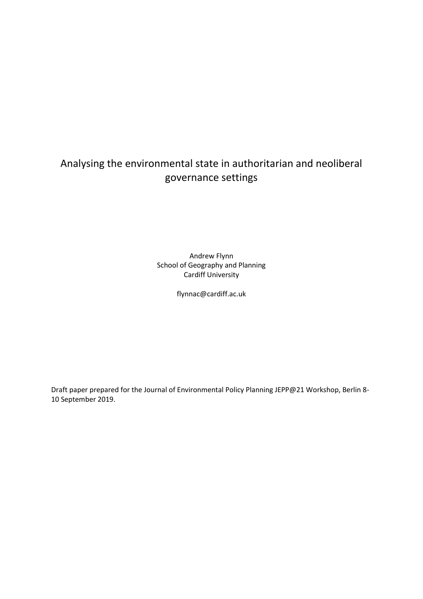# Analysing the environmental state in authoritarian and neoliberal governance settings

Andrew Flynn School of Geography and Planning Cardiff University

flynnac@cardiff.ac.uk

Draft paper prepared for the Journal of Environmental Policy Planning JEPP@21 Workshop, Berlin 8- 10 September 2019.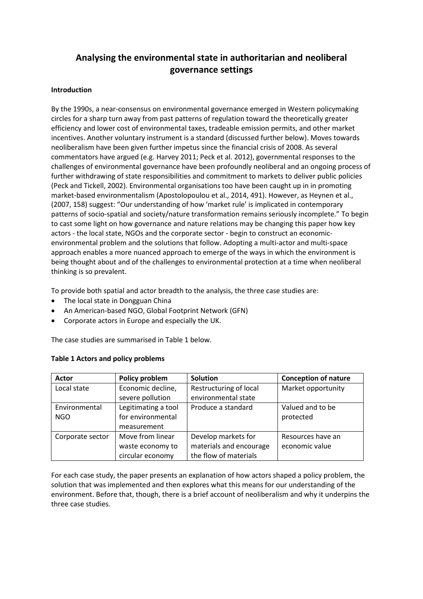# **Analysing the environmental state in authoritarian and neoliberal governance settings**

# **Introduction**

By the 1990s, a near-consensus on environmental governance emerged in Western policymaking circles for a sharp turn away from past patterns of regulation toward the theoretically greater efficiency and lower cost of environmental taxes, tradeable emission permits, and other market incentives. Another voluntary instrument is a standard (discussed further below). Moves towards neoliberalism have been given further impetus since the financial crisis of 2008. As several commentators have argued (e.g. Harvey 2011; Peck et al. 2012), governmental responses to the challenges of environmental governance have been profoundly neoliberal and an ongoing process of further withdrawing of state responsibilities and commitment to markets to deliver public policies (Peck and Tickell, 2002). Environmental organisations too have been caught up in in promoting market-based environmentalism (Apostolopoulou et al., 2014, 491). However, as Heynen et al., (2007, 158) suggest: "Our understanding of how 'market rule' is implicated in contemporary patterns of socio-spatial and society/nature transformation remains seriously incomplete." To begin to cast some light on how governance and nature relations may be changing this paper how key actors - the local state, NGOs and the corporate sector - begin to construct an economicenvironmental problem and the solutions that follow. Adopting a multi-actor and multi-space approach enables a more nuanced approach to emerge of the ways in which the environment is being thought about and of the challenges to environmental protection at a time when neoliberal thinking is so prevalent.

To provide both spatial and actor breadth to the analysis, the three case studies are:

• The local state in Dongguan China

**Table 1 Actors and policy problems**

- An American-based NGO, Global Footprint Network (GFN)
- Corporate actors in Europe and especially the UK.

The case studies are summarised in Table 1 below.

|  |  | rapic + rictors and policy propicing |  |
|--|--|--------------------------------------|--|
|  |  |                                      |  |
|  |  |                                      |  |
|  |  |                                      |  |

| <b>Actor</b>     | Policy problem      | <b>Solution</b>         | <b>Conception of nature</b> |  |
|------------------|---------------------|-------------------------|-----------------------------|--|
| Local state      | Economic decline,   | Restructuring of local  | Market opportunity          |  |
|                  | severe pollution    | environmental state     |                             |  |
| Environmental    | Legitimating a tool | Produce a standard      | Valued and to be            |  |
| <b>NGO</b>       | for environmental   |                         | protected                   |  |
|                  | measurement         |                         |                             |  |
| Corporate sector | Move from linear    | Develop markets for     | Resources have an           |  |
|                  | waste economy to    | materials and encourage | economic value              |  |
|                  | circular economy    | the flow of materials   |                             |  |

For each case study, the paper presents an explanation of how actors shaped a policy problem, the solution that was implemented and then explores what this means for our understanding of the environment. Before that, though, there is a brief account of neoliberalism and why it underpins the three case studies.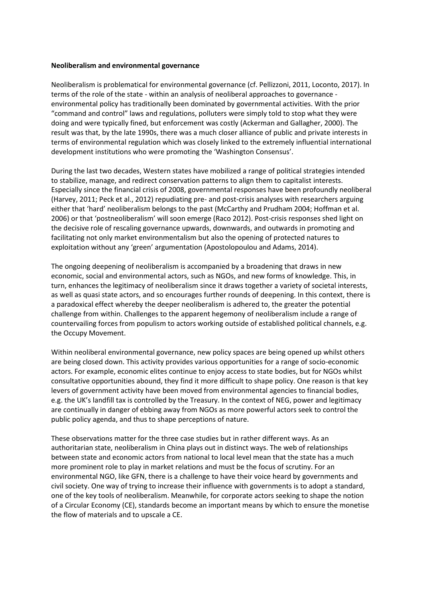#### **Neoliberalism and environmental governance**

Neoliberalism is problematical for environmental governance (cf. Pellizzoni, 2011, Loconto, 2017). In terms of the role of the state - within an analysis of neoliberal approaches to governance environmental policy has traditionally been dominated by governmental activities. With the prior "command and control" laws and regulations, polluters were simply told to stop what they were doing and were typically fined, but enforcement was costly (Ackerman and Gallagher, 2000). The result was that, by the late 1990s, there was a much closer alliance of public and private interests in terms of environmental regulation which was closely linked to the extremely influential international development institutions who were promoting the 'Washington Consensus'.

During the last two decades, Western states have mobilized a range of political strategies intended to stabilize, manage, and redirect conservation patterns to align them to capitalist interests. Especially since the financial crisis of 2008, governmental responses have been profoundly neoliberal (Harvey, 2011; Peck et al., 2012) repudiating pre- and post-crisis analyses with researchers arguing either that 'hard' neoliberalism belongs to the past (McCarthy and Prudham 2004; Hoffman et al. 2006) or that 'postneoliberalism' will soon emerge (Raco 2012). Post-crisis responses shed light on the decisive role of rescaling governance upwards, downwards, and outwards in promoting and facilitating not only market environmentalism but also the opening of protected natures to exploitation without any 'green' argumentation (Apostolopoulou and Adams, 2014).

The ongoing deepening of neoliberalism is accompanied by a broadening that draws in new economic, social and environmental actors, such as NGOs, and new forms of knowledge. This, in turn, enhances the legitimacy of neoliberalism since it draws together a variety of societal interests, as well as quasi state actors, and so encourages further rounds of deepening. In this context, there is a paradoxical effect whereby the deeper neoliberalism is adhered to, the greater the potential challenge from within. Challenges to the apparent hegemony of neoliberalism include a range of countervailing forces from populism to actors working outside of established political channels, e.g. the Occupy Movement.

Within neoliberal environmental governance, new policy spaces are being opened up whilst others are being closed down. This activity provides various opportunities for a range of socio-economic actors. For example, economic elites continue to enjoy access to state bodies, but for NGOs whilst consultative opportunities abound, they find it more difficult to shape policy. One reason is that key levers of government activity have been moved from environmental agencies to financial bodies, e.g. the UK's landfill tax is controlled by the Treasury. In the context of NEG, power and legitimacy are continually in danger of ebbing away from NGOs as more powerful actors seek to control the public policy agenda, and thus to shape perceptions of nature.

These observations matter for the three case studies but in rather different ways. As an authoritarian state, neoliberalism in China plays out in distinct ways. The web of relationships between state and economic actors from national to local level mean that the state has a much more prominent role to play in market relations and must be the focus of scrutiny. For an environmental NGO, like GFN, there is a challenge to have their voice heard by governments and civil society. One way of trying to increase their influence with governments is to adopt a standard, one of the key tools of neoliberalism. Meanwhile, for corporate actors seeking to shape the notion of a Circular Economy (CE), standards become an important means by which to ensure the monetise the flow of materials and to upscale a CE.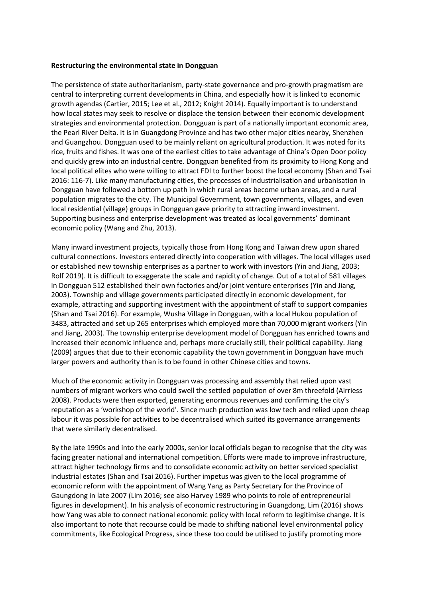#### **Restructuring the environmental state in Dongguan**

The persistence of state authoritarianism, party-state governance and pro-growth pragmatism are central to interpreting current developments in China, and especially how it is linked to economic growth agendas (Cartier, 2015; Lee et al., 2012; Knight 2014). Equally important is to understand how local states may seek to resolve or displace the tension between their economic development strategies and environmental protection. Dongguan is part of a nationally important economic area, the Pearl River Delta. It is in Guangdong Province and has two other major cities nearby, Shenzhen and Guangzhou. Dongguan used to be mainly reliant on agricultural production. It was noted for its rice, fruits and fishes. It was one of the earliest cities to take advantage of China's Open Door policy and quickly grew into an industrial centre. Dongguan benefited from its proximity to Hong Kong and local political elites who were willing to attract FDI to further boost the local economy (Shan and Tsai 2016: 116-7). Like many manufacturing cities, the processes of industrialisation and urbanisation in Dongguan have followed a bottom up path in which rural areas become urban areas, and a rural population migrates to the city. The Municipal Government, town governments, villages, and even local residential (village) groups in Dongguan gave priority to attracting inward investment. Supporting business and enterprise development was treated as local governments' dominant economic policy (Wang and Zhu, 2013).

Many inward investment projects, typically those from Hong Kong and Taiwan drew upon shared cultural connections. Investors entered directly into cooperation with villages. The local villages used or established new township enterprises as a partner to work with investors (Yin and Jiang, 2003; Rolf 2019). It is difficult to exaggerate the scale and rapidity of change. Out of a total of 581 villages in Dongguan 512 established their own factories and/or joint venture enterprises (Yin and Jiang, 2003). Township and village governments participated directly in economic development, for example, attracting and supporting investment with the appointment of staff to support companies (Shan and Tsai 2016). For example, Wusha Village in Dongguan, with a local Hukou population of 3483, attracted and set up 265 enterprises which employed more than 70,000 migrant workers (Yin and Jiang, 2003). The township enterprise development model of Dongguan has enriched towns and increased their economic influence and, perhaps more crucially still, their political capability. Jiang (2009) argues that due to their economic capability the town government in Dongguan have much larger powers and authority than is to be found in other Chinese cities and towns.

Much of the economic activity in Dongguan was processing and assembly that relied upon vast numbers of migrant workers who could swell the settled population of over 8m threefold (Airriess 2008). Products were then exported, generating enormous revenues and confirming the city's reputation as a 'workshop of the world'. Since much production was low tech and relied upon cheap labour it was possible for activities to be decentralised which suited its governance arrangements that were similarly decentralised.

By the late 1990s and into the early 2000s, senior local officials began to recognise that the city was facing greater national and international competition. Efforts were made to improve infrastructure, attract higher technology firms and to consolidate economic activity on better serviced specialist industrial estates (Shan and Tsai 2016). Further impetus was given to the local programme of economic reform with the appointment of Wang Yang as Party Secretary for the Province of Gaungdong in late 2007 (Lim 2016; see also Harvey 1989 who points to role of entrepreneurial figures in development). In his analysis of economic restructuring in Guangdong, Lim (2016) shows how Yang was able to connect national economic policy with local reform to legitimise change. It is also important to note that recourse could be made to shifting national level environmental policy commitments, like Ecological Progress, since these too could be utilised to justify promoting more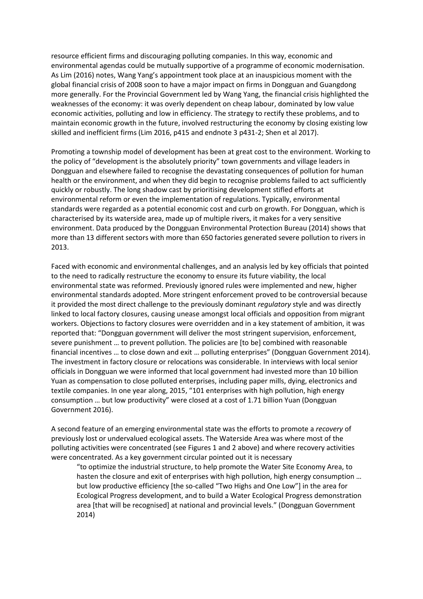resource efficient firms and discouraging polluting companies. In this way, economic and environmental agendas could be mutually supportive of a programme of economic modernisation. As Lim (2016) notes, Wang Yang's appointment took place at an inauspicious moment with the global financial crisis of 2008 soon to have a major impact on firms in Dongguan and Guangdong more generally. For the Provincial Government led by Wang Yang, the financial crisis highlighted the weaknesses of the economy: it was overly dependent on cheap labour, dominated by low value economic activities, polluting and low in efficiency. The strategy to rectify these problems, and to maintain economic growth in the future, involved restructuring the economy by closing existing low skilled and inefficient firms (Lim 2016, p415 and endnote 3 p431-2; Shen et al 2017).

Promoting a township model of development has been at great cost to the environment. Working to the policy of "development is the absolutely priority" town governments and village leaders in Dongguan and elsewhere failed to recognise the devastating consequences of pollution for human health or the environment, and when they did begin to recognise problems failed to act sufficiently quickly or robustly. The long shadow cast by prioritising development stifled efforts at environmental reform or even the implementation of regulations. Typically, environmental standards were regarded as a potential economic cost and curb on growth. For Dongguan, which is characterised by its waterside area, made up of multiple rivers, it makes for a very sensitive environment. Data produced by the Dongguan Environmental Protection Bureau (2014) shows that more than 13 different sectors with more than 650 factories generated severe pollution to rivers in 2013.

Faced with economic and environmental challenges, and an analysis led by key officials that pointed to the need to radically restructure the economy to ensure its future viability, the local environmental state was reformed. Previously ignored rules were implemented and new, higher environmental standards adopted. More stringent enforcement proved to be controversial because it provided the most direct challenge to the previously dominant *regulatory* style and was directly linked to local factory closures, causing unease amongst local officials and opposition from migrant workers. Objections to factory closures were overridden and in a key statement of ambition, it was reported that: "Dongguan government will deliver the most stringent supervision, enforcement, severe punishment … to prevent pollution. The policies are [to be] combined with reasonable financial incentives … to close down and exit … polluting enterprises" (Dongguan Government 2014). The investment in factory closure or relocations was considerable. In interviews with local senior officials in Dongguan we were informed that local government had invested more than 10 billion Yuan as compensation to close polluted enterprises, including paper mills, dying, electronics and textile companies. In one year along, 2015, "101 enterprises with high pollution, high energy consumption … but low productivity" were closed at a cost of 1.71 billion Yuan (Dongguan Government 2016).

A second feature of an emerging environmental state was the efforts to promote a *recovery* of previously lost or undervalued ecological assets. The Waterside Area was where most of the polluting activities were concentrated (see Figures 1 and 2 above) and where recovery activities were concentrated. As a key government circular pointed out it is necessary

"to optimize the industrial structure, to help promote the Water Site Economy Area, to hasten the closure and exit of enterprises with high pollution, high energy consumption … but low productive efficiency [the so-called "Two Highs and One Low"] in the area for Ecological Progress development, and to build a Water Ecological Progress demonstration area [that will be recognised] at national and provincial levels." (Dongguan Government 2014)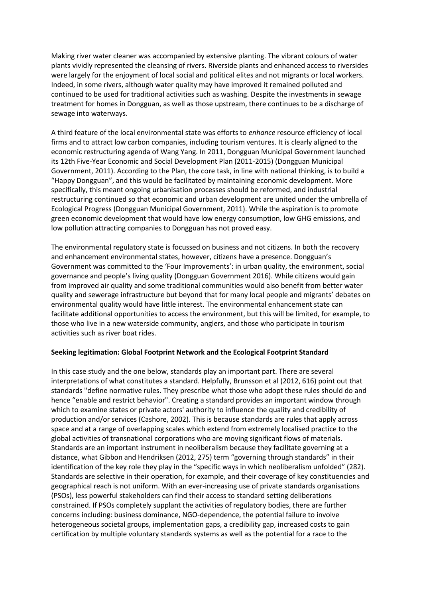Making river water cleaner was accompanied by extensive planting. The vibrant colours of water plants vividly represented the cleansing of rivers. Riverside plants and enhanced access to riversides were largely for the enjoyment of local social and political elites and not migrants or local workers. Indeed, in some rivers, although water quality may have improved it remained polluted and continued to be used for traditional activities such as washing. Despite the investments in sewage treatment for homes in Dongguan, as well as those upstream, there continues to be a discharge of sewage into waterways.

A third feature of the local environmental state was efforts to *enhance* resource efficiency of local firms and to attract low carbon companies, including tourism ventures. It is clearly aligned to the economic restructuring agenda of Wang Yang. In 2011, Dongguan Municipal Government launched its 12th Five-Year Economic and Social Development Plan (2011-2015) (Dongguan Municipal Government, 2011). According to the Plan, the core task, in line with national thinking, is to build a "Happy Dongguan", and this would be facilitated by maintaining economic development. More specifically, this meant ongoing urbanisation processes should be reformed, and industrial restructuring continued so that economic and urban development are united under the umbrella of Ecological Progress (Dongguan Municipal Government, 2011). While the aspiration is to promote green economic development that would have low energy consumption, low GHG emissions, and low pollution attracting companies to Dongguan has not proved easy.

The environmental regulatory state is focussed on business and not citizens. In both the recovery and enhancement environmental states, however, citizens have a presence. Dongguan's Government was committed to the 'Four Improvements': in urban quality, the environment, social governance and people's living quality (Dongguan Government 2016). While citizens would gain from improved air quality and some traditional communities would also benefit from better water quality and sewerage infrastructure but beyond that for many local people and migrants' debates on environmental quality would have little interest. The environmental enhancement state can facilitate additional opportunities to access the environment, but this will be limited, for example, to those who live in a new waterside community, anglers, and those who participate in tourism activities such as river boat rides.

## **Seeking legitimation: Global Footprint Network and the Ecological Footprint Standard**

In this case study and the one below, standards play an important part. There are several interpretations of what constitutes a standard. Helpfully, Brunsson et al (2012, 616) point out that standards "define normative rules. They prescribe what those who adopt these rules should do and hence "enable and restrict behavior". Creating a standard provides an important window through which to examine states or private actors' authority to influence the quality and credibility of production and/or services (Cashore, 2002). This is because standards are rules that apply across space and at a range of overlapping scales which extend from extremely localised practice to the global activities of transnational corporations who are moving significant flows of materials. Standards are an important instrument in neoliberalism because they facilitate governing at a distance, what Gibbon and Hendriksen (2012, 275) term "governing through standards" in their identification of the key role they play in the "specific ways in which neoliberalism unfolded" (282). Standards are selective in their operation, for example, and their coverage of key constituencies and geographical reach is not uniform. With an ever-increasing use of private standards organisations (PSOs), less powerful stakeholders can find their access to standard setting deliberations constrained. If PSOs completely supplant the activities of regulatory bodies, there are further concerns including: business dominance, NGO-dependence, the potential failure to involve heterogeneous societal groups, implementation gaps, a credibility gap, increased costs to gain certification by multiple voluntary standards systems as well as the potential for a race to the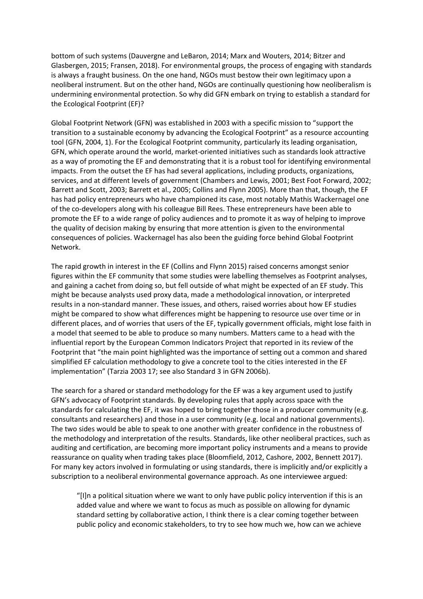bottom of such systems (Dauvergne and LeBaron, 2014; Marx and Wouters, 2014; Bitzer and Glasbergen, 2015; Fransen, 2018). For environmental groups, the process of engaging with standards is always a fraught business. On the one hand, NGOs must bestow their own legitimacy upon a neoliberal instrument. But on the other hand, NGOs are continually questioning how neoliberalism is undermining environmental protection. So why did GFN embark on trying to establish a standard for the Ecological Footprint (EF)?

Global Footprint Network (GFN) was established in 2003 with a specific mission to "support the transition to a sustainable economy by advancing the Ecological Footprint" as a resource accounting tool (GFN, 2004, 1). For the Ecological Footprint community, particularly its leading organisation, GFN, which operate around the world, market-oriented initiatives such as standards look attractive as a way of promoting the EF and demonstrating that it is a robust tool for identifying environmental impacts. From the outset the EF has had several applications, including products, organizations, services, and at different levels of government (Chambers and Lewis, 2001; Best Foot Forward, 2002; Barrett and Scott, 2003; Barrett et al., 2005; Collins and Flynn 2005). More than that, though, the EF has had policy entrepreneurs who have championed its case, most notably Mathis Wackernagel one of the co-developers along with his colleague Bill Rees. These entrepreneurs have been able to promote the EF to a wide range of policy audiences and to promote it as way of helping to improve the quality of decision making by ensuring that more attention is given to the environmental consequences of policies. Wackernagel has also been the guiding force behind Global Footprint Network.

The rapid growth in interest in the EF (Collins and Flynn 2015) raised concerns amongst senior figures within the EF community that some studies were labelling themselves as Footprint analyses, and gaining a cachet from doing so, but fell outside of what might be expected of an EF study. This might be because analysts used proxy data, made a methodological innovation, or interpreted results in a non-standard manner. These issues, and others, raised worries about how EF studies might be compared to show what differences might be happening to resource use over time or in different places, and of worries that users of the EF, typically government officials, might lose faith in a model that seemed to be able to produce so many numbers. Matters came to a head with the influential report by the European Common Indicators Project that reported in its review of the Footprint that "the main point highlighted was the importance of setting out a common and shared simplified EF calculation methodology to give a concrete tool to the cities interested in the EF implementation" (Tarzia 2003 17; see also Standard 3 in GFN 2006b).

The search for a shared or standard methodology for the EF was a key argument used to justify GFN's advocacy of Footprint standards. By developing rules that apply across space with the standards for calculating the EF, it was hoped to bring together those in a producer community (e.g. consultants and researchers) and those in a user community (e.g. local and national governments). The two sides would be able to speak to one another with greater confidence in the robustness of the methodology and interpretation of the results. Standards, like other neoliberal practices, such as auditing and certification, are becoming more important policy instruments and a means to provide reassurance on quality when trading takes place (Bloomfield, 2012, Cashore, 2002, Bennett 2017). For many key actors involved in formulating or using standards, there is implicitly and/or explicitly a subscription to a neoliberal environmental governance approach. As one interviewee argued:

"[I]n a political situation where we want to only have public policy intervention if this is an added value and where we want to focus as much as possible on allowing for dynamic standard setting by collaborative action, I think there is a clear coming together between public policy and economic stakeholders, to try to see how much we, how can we achieve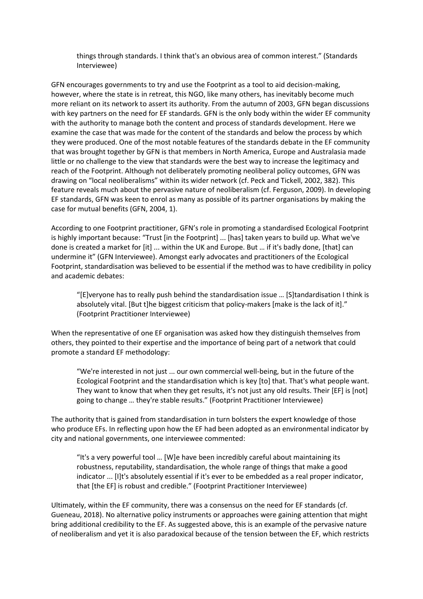things through standards. I think that's an obvious area of common interest." (Standards Interviewee)

GFN encourages governments to try and use the Footprint as a tool to aid decision-making, however, where the state is in retreat, this NGO, like many others, has inevitably become much more reliant on its network to assert its authority. From the autumn of 2003, GFN began discussions with key partners on the need for EF standards. GFN is the only body within the wider EF community with the authority to manage both the content and process of standards development. Here we examine the case that was made for the content of the standards and below the process by which they were produced. One of the most notable features of the standards debate in the EF community that was brought together by GFN is that members in North America, Europe and Australasia made little or no challenge to the view that standards were the best way to increase the legitimacy and reach of the Footprint. Although not deliberately promoting neoliberal policy outcomes, GFN was drawing on "local neoliberalisms" within its wider network (cf. Peck and Tickell, 2002, 382). This feature reveals much about the pervasive nature of neoliberalism (cf. Ferguson, 2009). In developing EF standards, GFN was keen to enrol as many as possible of its partner organisations by making the case for mutual benefits (GFN, 2004, 1).

According to one Footprint practitioner, GFN's role in promoting a standardised Ecological Footprint is highly important because: "Trust [in the Footprint] ... [has] taken years to build up. What we've done is created a market for [it] ... within the UK and Europe. But … if it's badly done, [that] can undermine it" (GFN Interviewee). Amongst early advocates and practitioners of the Ecological Footprint, standardisation was believed to be essential if the method was to have credibility in policy and academic debates:

"[E]veryone has to really push behind the standardisation issue … [S]tandardisation I think is absolutely vital. [But t]he biggest criticism that policy-makers [make is the lack of it]." (Footprint Practitioner Interviewee)

When the representative of one EF organisation was asked how they distinguish themselves from others, they pointed to their expertise and the importance of being part of a network that could promote a standard EF methodology:

"We're interested in not just ... our own commercial well-being, but in the future of the Ecological Footprint and the standardisation which is key [to] that. That's what people want. They want to know that when they get results, it's not just any old results. Their [EF] is [not] going to change … they're stable results." (Footprint Practitioner Interviewee)

The authority that is gained from standardisation in turn bolsters the expert knowledge of those who produce EFs. In reflecting upon how the EF had been adopted as an environmental indicator by city and national governments, one interviewee commented:

"It's a very powerful tool … [W]e have been incredibly careful about maintaining its robustness, reputability, standardisation, the whole range of things that make a good indicator ... [I]t's absolutely essential if it's ever to be embedded as a real proper indicator, that [the EF] is robust and credible." (Footprint Practitioner Interviewee)

Ultimately, within the EF community, there was a consensus on the need for EF standards (cf. Gueneau, 2018). No alternative policy instruments or approaches were gaining attention that might bring additional credibility to the EF. As suggested above, this is an example of the pervasive nature of neoliberalism and yet it is also paradoxical because of the tension between the EF, which restricts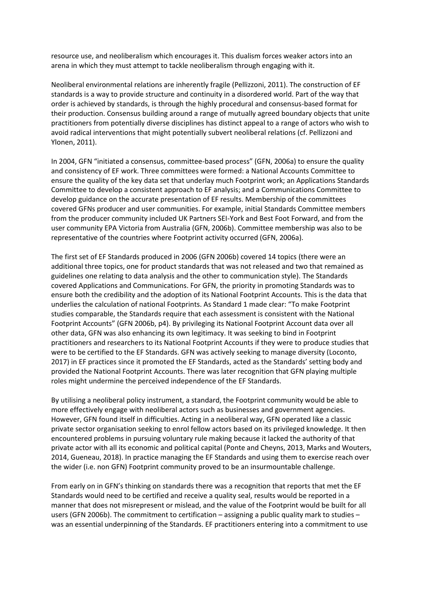resource use, and neoliberalism which encourages it. This dualism forces weaker actors into an arena in which they must attempt to tackle neoliberalism through engaging with it.

Neoliberal environmental relations are inherently fragile (Pellizzoni, 2011). The construction of EF standards is a way to provide structure and continuity in a disordered world. Part of the way that order is achieved by standards, is through the highly procedural and consensus-based format for their production. Consensus building around a range of mutually agreed boundary objects that unite practitioners from potentially diverse disciplines has distinct appeal to a range of actors who wish to avoid radical interventions that might potentially subvert neoliberal relations (cf. Pellizzoni and Ylonen, 2011).

In 2004, GFN "initiated a consensus, committee-based process" (GFN, 2006a) to ensure the quality and consistency of EF work. Three committees were formed: a National Accounts Committee to ensure the quality of the key data set that underlay much Footprint work; an Applications Standards Committee to develop a consistent approach to EF analysis; and a Communications Committee to develop guidance on the accurate presentation of EF results. Membership of the committees covered GFNs producer and user communities. For example, initial Standards Committee members from the producer community included UK Partners SEI-York and Best Foot Forward, and from the user community EPA Victoria from Australia (GFN, 2006b). Committee membership was also to be representative of the countries where Footprint activity occurred (GFN, 2006a).

The first set of EF Standards produced in 2006 (GFN 2006b) covered 14 topics (there were an additional three topics, one for product standards that was not released and two that remained as guidelines one relating to data analysis and the other to communication style). The Standards covered Applications and Communications. For GFN, the priority in promoting Standards was to ensure both the credibility and the adoption of its National Footprint Accounts. This is the data that underlies the calculation of national Footprints. As Standard 1 made clear: "To make Footprint studies comparable, the Standards require that each assessment is consistent with the National Footprint Accounts" (GFN 2006b, p4). By privileging its National Footprint Account data over all other data, GFN was also enhancing its own legitimacy. It was seeking to bind in Footprint practitioners and researchers to its National Footprint Accounts if they were to produce studies that were to be certified to the EF Standards. GFN was actively seeking to manage diversity (Loconto, 2017) in EF practices since it promoted the EF Standards, acted as the Standards' setting body and provided the National Footprint Accounts. There was later recognition that GFN playing multiple roles might undermine the perceived independence of the EF Standards.

By utilising a neoliberal policy instrument, a standard, the Footprint community would be able to more effectively engage with neoliberal actors such as businesses and government agencies. However, GFN found itself in difficulties. Acting in a neoliberal way, GFN operated like a classic private sector organisation seeking to enrol fellow actors based on its privileged knowledge. It then encountered problems in pursuing voluntary rule making because it lacked the authority of that private actor with all its economic and political capital (Ponte and Cheyns, 2013, Marks and Wouters, 2014, Gueneau, 2018). In practice managing the EF Standards and using them to exercise reach over the wider (i.e. non GFN) Footprint community proved to be an insurmountable challenge.

From early on in GFN's thinking on standards there was a recognition that reports that met the EF Standards would need to be certified and receive a quality seal, results would be reported in a manner that does not misrepresent or mislead, and the value of the Footprint would be built for all users (GFN 2006b). The commitment to certification – assigning a public quality mark to studies – was an essential underpinning of the Standards. EF practitioners entering into a commitment to use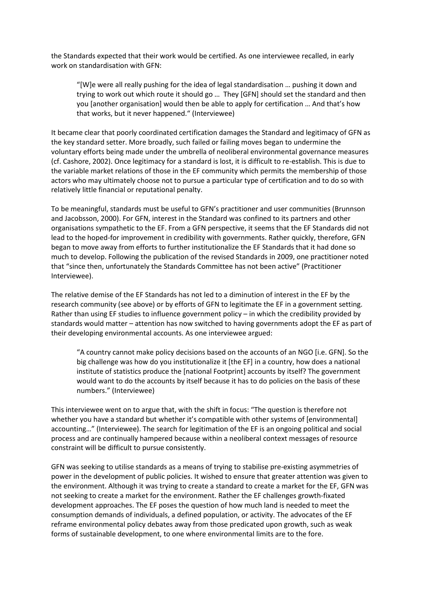the Standards expected that their work would be certified. As one interviewee recalled, in early work on standardisation with GFN:

"[W]e were all really pushing for the idea of legal standardisation … pushing it down and trying to work out which route it should go … They [GFN] should set the standard and then you [another organisation] would then be able to apply for certification … And that's how that works, but it never happened." (Interviewee)

It became clear that poorly coordinated certification damages the Standard and legitimacy of GFN as the key standard setter. More broadly, such failed or failing moves began to undermine the voluntary efforts being made under the umbrella of neoliberal environmental governance measures (cf. Cashore, 2002). Once legitimacy for a standard is lost, it is difficult to re-establish. This is due to the variable market relations of those in the EF community which permits the membership of those actors who may ultimately choose not to pursue a particular type of certification and to do so with relatively little financial or reputational penalty.

To be meaningful, standards must be useful to GFN's practitioner and user communities (Brunnson and Jacobsson, 2000). For GFN, interest in the Standard was confined to its partners and other organisations sympathetic to the EF. From a GFN perspective, it seems that the EF Standards did not lead to the hoped-for improvement in credibility with governments. Rather quickly, therefore, GFN began to move away from efforts to further institutionalize the EF Standards that it had done so much to develop. Following the publication of the revised Standards in 2009, one practitioner noted that "since then, unfortunately the Standards Committee has not been active" (Practitioner Interviewee).

The relative demise of the EF Standards has not led to a diminution of interest in the EF by the research community (see above) or by efforts of GFN to legitimate the EF in a government setting. Rather than using EF studies to influence government policy – in which the credibility provided by standards would matter – attention has now switched to having governments adopt the EF as part of their developing environmental accounts. As one interviewee argued:

"A country cannot make policy decisions based on the accounts of an NGO [i.e. GFN]. So the big challenge was how do you institutionalize it [the EF] in a country, how does a national institute of statistics produce the [national Footprint] accounts by itself? The government would want to do the accounts by itself because it has to do policies on the basis of these numbers." (Interviewee)

This interviewee went on to argue that, with the shift in focus: "The question is therefore not whether you have a standard but whether it's compatible with other systems of [environmental] accounting…" (Interviewee). The search for legitimation of the EF is an ongoing political and social process and are continually hampered because within a neoliberal context messages of resource constraint will be difficult to pursue consistently.

GFN was seeking to utilise standards as a means of trying to stabilise pre-existing asymmetries of power in the development of public policies. It wished to ensure that greater attention was given to the environment. Although it was trying to create a standard to create a market for the EF, GFN was not seeking to create a market for the environment. Rather the EF challenges growth-fixated development approaches. The EF poses the question of how much land is needed to meet the consumption demands of individuals, a defined population, or activity. The advocates of the EF reframe environmental policy debates away from those predicated upon growth, such as weak forms of sustainable development, to one where environmental limits are to the fore.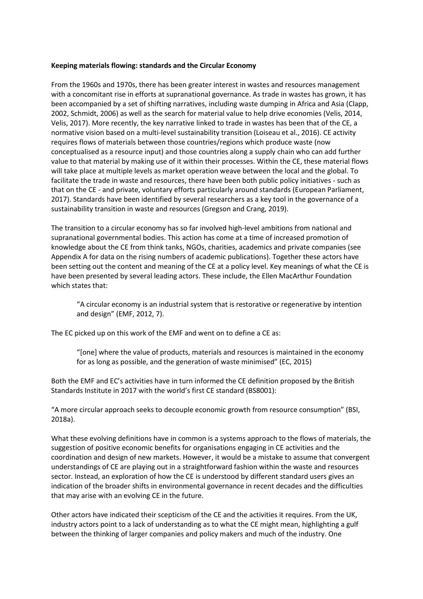### **Keeping materials flowing: standards and the Circular Economy**

From the 1960s and 1970s, there has been greater interest in wastes and resources management with a concomitant rise in efforts at supranational governance. As trade in wastes has grown, it has been accompanied by a set of shifting narratives, including waste dumping in Africa and Asia (Clapp, 2002, Schmidt, 2006) as well as the search for material value to help drive economies (Velis, 2014, Velis, 2017). More recently, the key narrative linked to trade in wastes has been that of the CE, a normative vision based on a multi-level sustainability transition (Loiseau et al., 2016). CE activity requires flows of materials between those countries/regions which produce waste (now conceptualised as a resource input) and those countries along a supply chain who can add further value to that material by making use of it within their processes. Within the CE, these material flows will take place at multiple levels as market operation weave between the local and the global. To facilitate the trade in waste and resources, there have been both public policy initiatives - such as that on the CE - and private, voluntary efforts particularly around standards (European Parliament, 2017). Standards have been identified by several researchers as a key tool in the governance of a sustainability transition in waste and resources (Gregson and Crang, 2019).

The transition to a circular economy has so far involved high-level ambitions from national and supranational governmental bodies. This action has come at a time of increased promotion of knowledge about the CE from think tanks, NGOs, charities, academics and private companies (see Appendix A for data on the rising numbers of academic publications). Together these actors have been setting out the content and meaning of the CE at a policy level. Key meanings of what the CE is have been presented by several leading actors. These include, the Ellen MacArthur Foundation which states that:

"A circular economy is an industrial system that is restorative or regenerative by intention and design" (EMF, 2012, 7).

The EC picked up on this work of the EMF and went on to define a CE as:

"[one] where the value of products, materials and resources is maintained in the economy for as long as possible, and the generation of waste minimised" (EC, 2015)

Both the EMF and EC's activities have in turn informed the CE definition proposed by the British Standards Institute in 2017 with the world's first CE standard (BS8001):

"A more circular approach seeks to decouple economic growth from resource consumption" (BSI, 2018a).

What these evolving definitions have in common is a systems approach to the flows of materials, the suggestion of positive economic benefits for organisations engaging in CE activities and the coordination and design of new markets. However, it would be a mistake to assume that convergent understandings of CE are playing out in a straightforward fashion within the waste and resources sector. Instead, an exploration of how the CE is understood by different standard users gives an indication of the broader shifts in environmental governance in recent decades and the difficulties that may arise with an evolving CE in the future.

Other actors have indicated their scepticism of the CE and the activities it requires. From the UK, industry actors point to a lack of understanding as to what the CE might mean, highlighting a gulf between the thinking of larger companies and policy makers and much of the industry. One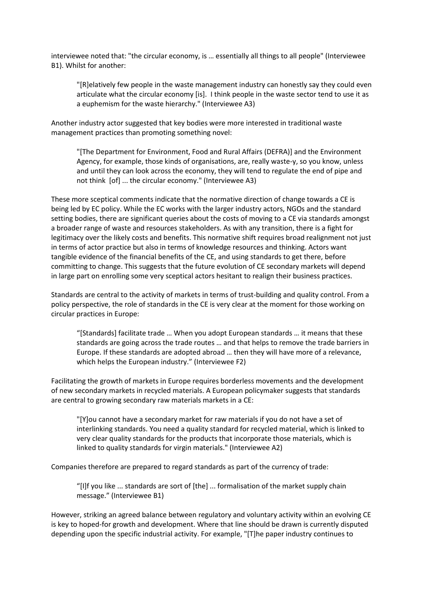interviewee noted that: "the circular economy, is … essentially all things to all people" (Interviewee B1). Whilst for another:

"[R]elatively few people in the waste management industry can honestly say they could even articulate what the circular economy [is]. I think people in the waste sector tend to use it as a euphemism for the waste hierarchy." (Interviewee A3)

Another industry actor suggested that key bodies were more interested in traditional waste management practices than promoting something novel:

"[The Department for Environment, Food and Rural Affairs (DEFRA)] and the Environment Agency, for example, those kinds of organisations, are, really waste-y, so you know, unless and until they can look across the economy, they will tend to regulate the end of pipe and not think [of] ... the circular economy." (Interviewee A3)

These more sceptical comments indicate that the normative direction of change towards a CE is being led by EC policy. While the EC works with the larger industry actors, NGOs and the standard setting bodies, there are significant queries about the costs of moving to a CE via standards amongst a broader range of waste and resources stakeholders. As with any transition, there is a fight for legitimacy over the likely costs and benefits. This normative shift requires broad realignment not just in terms of actor practice but also in terms of knowledge resources and thinking. Actors want tangible evidence of the financial benefits of the CE, and using standards to get there, before committing to change. This suggests that the future evolution of CE secondary markets will depend in large part on enrolling some very sceptical actors hesitant to realign their business practices.

Standards are central to the activity of markets in terms of trust-building and quality control. From a policy perspective, the role of standards in the CE is very clear at the moment for those working on circular practices in Europe:

"[Standards] facilitate trade … When you adopt European standards … it means that these standards are going across the trade routes … and that helps to remove the trade barriers in Europe. If these standards are adopted abroad … then they will have more of a relevance, which helps the European industry." (Interviewee F2)

Facilitating the growth of markets in Europe requires borderless movements and the development of new secondary markets in recycled materials. A European policymaker suggests that standards are central to growing secondary raw materials markets in a CE:

"[Y]ou cannot have a secondary market for raw materials if you do not have a set of interlinking standards. You need a quality standard for recycled material, which is linked to very clear quality standards for the products that incorporate those materials, which is linked to quality standards for virgin materials." (Interviewee A2)

Companies therefore are prepared to regard standards as part of the currency of trade:

"[I]f you like ... standards are sort of [the] ... formalisation of the market supply chain message." (Interviewee B1)

However, striking an agreed balance between regulatory and voluntary activity within an evolving CE is key to hoped-for growth and development. Where that line should be drawn is currently disputed depending upon the specific industrial activity. For example, "[T]he paper industry continues to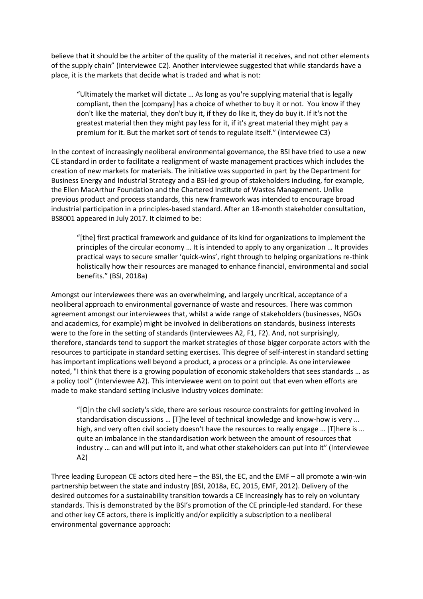believe that it should be the arbiter of the quality of the material it receives, and not other elements of the supply chain" (Interviewee C2). Another interviewee suggested that while standards have a place, it is the markets that decide what is traded and what is not:

"Ultimately the market will dictate … As long as you're supplying material that is legally compliant, then the [company] has a choice of whether to buy it or not. You know if they don't like the material, they don't buy it, if they do like it, they do buy it. If it's not the greatest material then they might pay less for it, if it's great material they might pay a premium for it. But the market sort of tends to regulate itself." (Interviewee C3)

In the context of increasingly neoliberal environmental governance, the BSI have tried to use a new CE standard in order to facilitate a realignment of waste management practices which includes the creation of new markets for materials. The initiative was supported in part by the Department for Business Energy and Industrial Strategy and a BSI-led group of stakeholders including, for example, the Ellen MacArthur Foundation and the Chartered Institute of Wastes Management. Unlike previous product and process standards, this new framework was intended to encourage broad industrial participation in a principles-based standard. After an 18-month stakeholder consultation, BS8001 appeared in July 2017. It claimed to be:

"[the] first practical framework and guidance of its kind for organizations to implement the principles of the circular economy … It is intended to apply to any organization … It provides practical ways to secure smaller 'quick-wins', right through to helping organizations re-think holistically how their resources are managed to enhance financial, environmental and social benefits." (BSI, 2018a)

Amongst our interviewees there was an overwhelming, and largely uncritical, acceptance of a neoliberal approach to environmental governance of waste and resources. There was common agreement amongst our interviewees that, whilst a wide range of stakeholders (businesses, NGOs and academics, for example) might be involved in deliberations on standards, business interests were to the fore in the setting of standards (Interviewees A2, F1, F2). And, not surprisingly, therefore, standards tend to support the market strategies of those bigger corporate actors with the resources to participate in standard setting exercises. This degree of self-interest in standard setting has important implications well beyond a product, a process or a principle. As one interviewee noted, "I think that there is a growing population of economic stakeholders that sees standards … as a policy tool" (Interviewee A2). This interviewee went on to point out that even when efforts are made to make standard setting inclusive industry voices dominate:

"[O]n the civil society's side, there are serious resource constraints for getting involved in standardisation discussions … [T]he level of technical knowledge and know-how is very ... high, and very often civil society doesn't have the resources to really engage ... [T]here is ... quite an imbalance in the standardisation work between the amount of resources that industry … can and will put into it, and what other stakeholders can put into it" (Interviewee A2)

Three leading European CE actors cited here – the BSI, the EC, and the EMF – all promote a win-win partnership between the state and industry (BSI, 2018a, EC, 2015, EMF, 2012). Delivery of the desired outcomes for a sustainability transition towards a CE increasingly has to rely on voluntary standards. This is demonstrated by the BSI's promotion of the CE principle-led standard. For these and other key CE actors, there is implicitly and/or explicitly a subscription to a neoliberal environmental governance approach: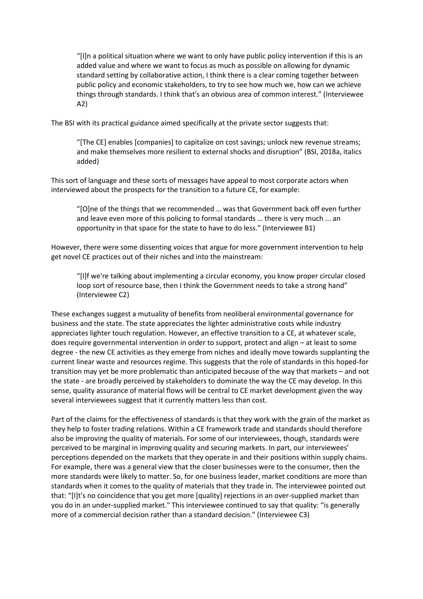"[I]n a political situation where we want to only have public policy intervention if this is an added value and where we want to focus as much as possible on allowing for dynamic standard setting by collaborative action, I think there is a clear coming together between public policy and economic stakeholders, to try to see how much we, how can we achieve things through standards. I think that's an obvious area of common interest." (Interviewee A2)

The BSI with its practical guidance aimed specifically at the private sector suggests that:

"[The CE] enables [companies] to capitalize on cost savings; unlock new revenue streams; and make themselves more resilient to external shocks and disruption" (BSI, 2018a, italics added)

This sort of language and these sorts of messages have appeal to most corporate actors when interviewed about the prospects for the transition to a future CE, for example:

"[O]ne of the things that we recommended … was that Government back off even further and leave even more of this policing to formal standards … there is very much ... an opportunity in that space for the state to have to do less." (Interviewee B1)

However, there were some dissenting voices that argue for more government intervention to help get novel CE practices out of their niches and into the mainstream:

"[I]f we're talking about implementing a circular economy, you know proper circular closed loop sort of resource base, then I think the Government needs to take a strong hand" (Interviewee C2)

These exchanges suggest a mutuality of benefits from neoliberal environmental governance for business and the state. The state appreciates the lighter administrative costs while industry appreciates lighter touch regulation. However, an effective transition to a CE, at whatever scale, does require governmental intervention in order to support, protect and align – at least to some degree - the new CE activities as they emerge from niches and ideally move towards supplanting the current linear waste and resources regime. This suggests that the role of standards in this hoped-for transition may yet be more problematic than anticipated because of the way that markets – and not the state - are broadly perceived by stakeholders to dominate the way the CE may develop. In this sense, quality assurance of material flows will be central to CE market development given the way several interviewees suggest that it currently matters less than cost.

Part of the claims for the effectiveness of standards is that they work with the grain of the market as they help to foster trading relations. Within a CE framework trade and standards should therefore also be improving the quality of materials. For some of our interviewees, though, standards were perceived to be marginal in improving quality and securing markets. In part, our interviewees' perceptions depended on the markets that they operate in and their positions within supply chains. For example, there was a general view that the closer businesses were to the consumer, then the more standards were likely to matter. So, for one business leader, market conditions are more than standards when it comes to the quality of materials that they trade in. The interviewee pointed out that: "[I]t's no coincidence that you get more [quality] rejections in an over-supplied market than you do in an under-supplied market." This interviewee continued to say that quality: "is generally more of a commercial decision rather than a standard decision." (Interviewee C3)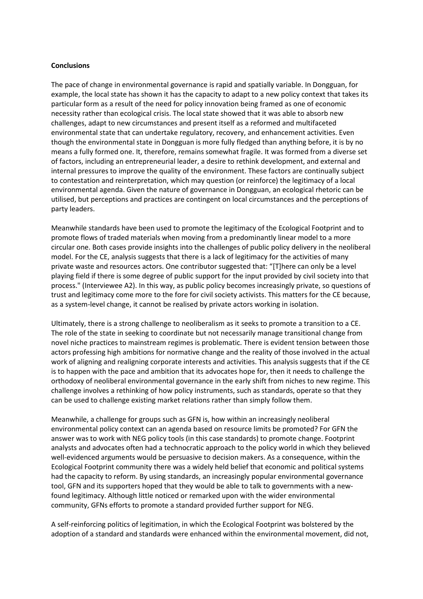#### **Conclusions**

The pace of change in environmental governance is rapid and spatially variable. In Dongguan, for example, the local state has shown it has the capacity to adapt to a new policy context that takes its particular form as a result of the need for policy innovation being framed as one of economic necessity rather than ecological crisis. The local state showed that it was able to absorb new challenges, adapt to new circumstances and present itself as a reformed and multifaceted environmental state that can undertake regulatory, recovery, and enhancement activities. Even though the environmental state in Dongguan is more fully fledged than anything before, it is by no means a fully formed one. It, therefore, remains somewhat fragile. It was formed from a diverse set of factors, including an entrepreneurial leader, a desire to rethink development, and external and internal pressures to improve the quality of the environment. These factors are continually subject to contestation and reinterpretation, which may question (or reinforce) the legitimacy of a local environmental agenda. Given the nature of governance in Dongguan, an ecological rhetoric can be utilised, but perceptions and practices are contingent on local circumstances and the perceptions of party leaders.

Meanwhile standards have been used to promote the legitimacy of the Ecological Footprint and to promote flows of traded materials when moving from a predominantly linear model to a more circular one. Both cases provide insights into the challenges of public policy delivery in the neoliberal model. For the CE, analysis suggests that there is a lack of legitimacy for the activities of many private waste and resources actors. One contributor suggested that: "[T]here can only be a level playing field if there is some degree of public support for the input provided by civil society into that process." (Interviewee A2). In this way, as public policy becomes increasingly private, so questions of trust and legitimacy come more to the fore for civil society activists. This matters for the CE because, as a system-level change, it cannot be realised by private actors working in isolation.

Ultimately, there is a strong challenge to neoliberalism as it seeks to promote a transition to a CE. The role of the state in seeking to coordinate but not necessarily manage transitional change from novel niche practices to mainstream regimes is problematic. There is evident tension between those actors professing high ambitions for normative change and the reality of those involved in the actual work of aligning and realigning corporate interests and activities. This analysis suggests that if the CE is to happen with the pace and ambition that its advocates hope for, then it needs to challenge the orthodoxy of neoliberal environmental governance in the early shift from niches to new regime. This challenge involves a rethinking of how policy instruments, such as standards, operate so that they can be used to challenge existing market relations rather than simply follow them.

Meanwhile, a challenge for groups such as GFN is, how within an increasingly neoliberal environmental policy context can an agenda based on resource limits be promoted? For GFN the answer was to work with NEG policy tools (in this case standards) to promote change. Footprint analysts and advocates often had a technocratic approach to the policy world in which they believed well-evidenced arguments would be persuasive to decision makers. As a consequence, within the Ecological Footprint community there was a widely held belief that economic and political systems had the capacity to reform. By using standards, an increasingly popular environmental governance tool, GFN and its supporters hoped that they would be able to talk to governments with a newfound legitimacy. Although little noticed or remarked upon with the wider environmental community, GFNs efforts to promote a standard provided further support for NEG.

A self-reinforcing politics of legitimation, in which the Ecological Footprint was bolstered by the adoption of a standard and standards were enhanced within the environmental movement, did not,